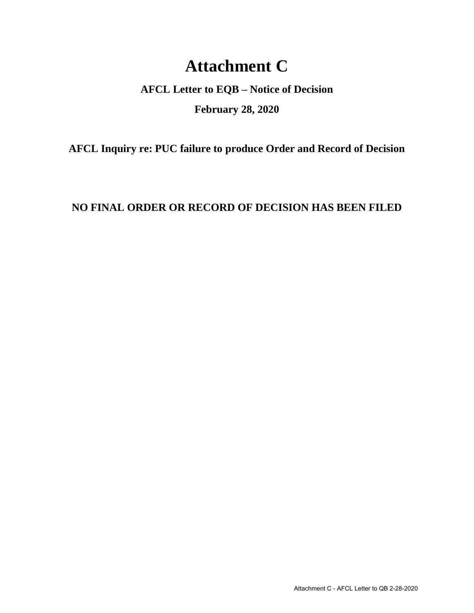## **Attachment C**

**AFCL Letter to EQB – Notice of Decision February 28, 2020**

**AFCL Inquiry re: PUC failure to produce Order and Record of Decision**

**NO FINAL ORDER OR RECORD OF DECISION HAS BEEN FILED**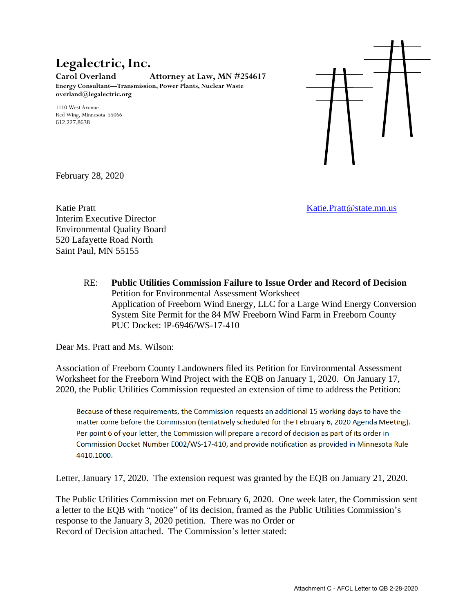## **Legalectric, Inc.**

**Carol Overland Attorney at Law, MN #254617 Energy Consultant—Transmission, Power Plants, Nuclear Waste overland@legalectric.org**

1110 West Avenue Red Wing, Minnesota 55066 612.227.8638



February 28, 2020

Katie Pratt **Katie.** Pratt **Constanting Constanting Constanting Constanting Constanting Constanting Constanting Constanting Constanting Constanting Constanting Constanting Constanting Constanting Constanting Constanting Co** Interim Executive Director Environmental Quality Board 520 Lafayette Road North Saint Paul, MN 55155

RE: **Public Utilities Commission Failure to Issue Order and Record of Decision** Petition for Environmental Assessment Worksheet Application of Freeborn Wind Energy, LLC for a Large Wind Energy Conversion System Site Permit for the 84 MW Freeborn Wind Farm in Freeborn County PUC Docket: IP-6946/WS-17-410

Dear Ms. Pratt and Ms. Wilson:

Association of Freeborn County Landowners filed its Petition for Environmental Assessment Worksheet for the Freeborn Wind Project with the EQB on January 1, 2020. On January 17, 2020, the Public Utilities Commission requested an extension of time to address the Petition:

Because of these requirements, the Commission requests an additional 15 working days to have the matter come before the Commission (tentatively scheduled for the February 6, 2020 Agenda Meeting). Per point 6 of your letter, the Commission will prepare a record of decision as part of its order in Commission Docket Number E002/WS-17-410, and provide notification as provided in Minnesota Rule 4410.1000.

Letter, January 17, 2020. The extension request was granted by the EQB on January 21, 2020.

The Public Utilities Commission met on February 6, 2020. One week later, the Commission sent a letter to the EQB with "notice" of its decision, framed as the Public Utilities Commission's response to the January 3, 2020 petition. There was no Order or Record of Decision attached. The Commission's letter stated: